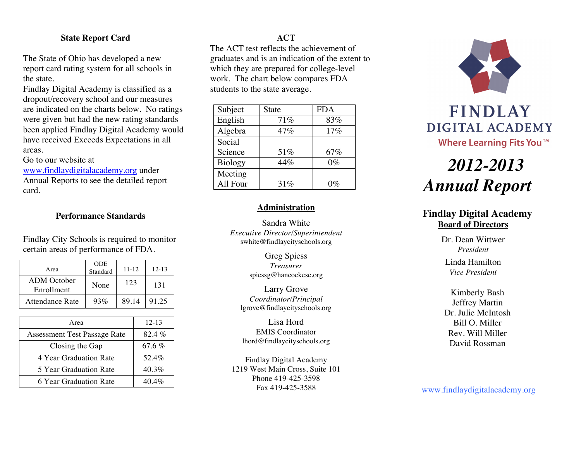#### **State Report Card**

The State of Ohio has developed a new report card rating system for all schools in the state.

Findlay Digital Academy is classified as a dropout/recovery school and our measures are indicated on the charts below. No ratings were given but had the new rating standards been applied Findlay Digital Academy would have received Exceeds Expectations in all areas.

Go to our website at

www.findlaydigitalacademy.org under Annual Reports to see the detailed report card.

## **Performance Standards**

Findlay City Schools is required to monitor certain areas of performance of FDA.

| Area                             | <b>ODE</b><br>Standard | $11 - 12$ | $12 - 13$ |
|----------------------------------|------------------------|-----------|-----------|
| <b>ADM</b> October<br>Enrollment | None                   | 123       | 131       |
| Attendance Rate                  | 93%                    | 89.14     | 91.25     |

| Area                                | $12 - 13$ |
|-------------------------------------|-----------|
| <b>Assessment Test Passage Rate</b> | 82.4%     |
| Closing the Gap                     | 67.6 $%$  |
| 4 Year Graduation Rate              | 52.4%     |
| 5 Year Graduation Rate              | $40.3\%$  |
| 6 Year Graduation Rate              | $40.4\%$  |

# **ACT**

The ACT test reflects the achievement of graduates and is an indication of the extent to which they are prepared for college-level work. The chart below compares FDA students to the state average.

| Subject        | State | <b>FDA</b> |
|----------------|-------|------------|
| English        | 71%   | 83%        |
| Algebra        | 47%   | 17%        |
| Social         |       |            |
| Science        | 51%   | 67%        |
| <b>Biology</b> | 44%   | $0\%$      |
| Meeting        |       |            |
| All Four       | 31%   | $0\%$      |

#### **Administration**

Sandra White *Executive Director/Superintendent* swhite@findlaycityschools.org

> Greg Spiess *Treasurer* spiessg@hancockesc.org

Larry Grove *Coordinator/Principal* lgrove@findlaycityschools.org

Lisa Hord EMIS Coordinator lhord@findlaycityschools.org

Findlay Digital Academy 1219 West Main Cross, Suite 101 Phone 419-425-3598 Fax 419-425-3588



# *2012-2013 Annual Report*

# **Findlay Digital Academy Board of Directors**

Dr. Dean Wittwer *President* Linda Hamilton *Vice President*

Kimberly Bash Jeffrey Martin Dr. Julie McIntosh Bill O. Miller Rev. Will Miller David Rossman

www.findlaydigitalacademy.org